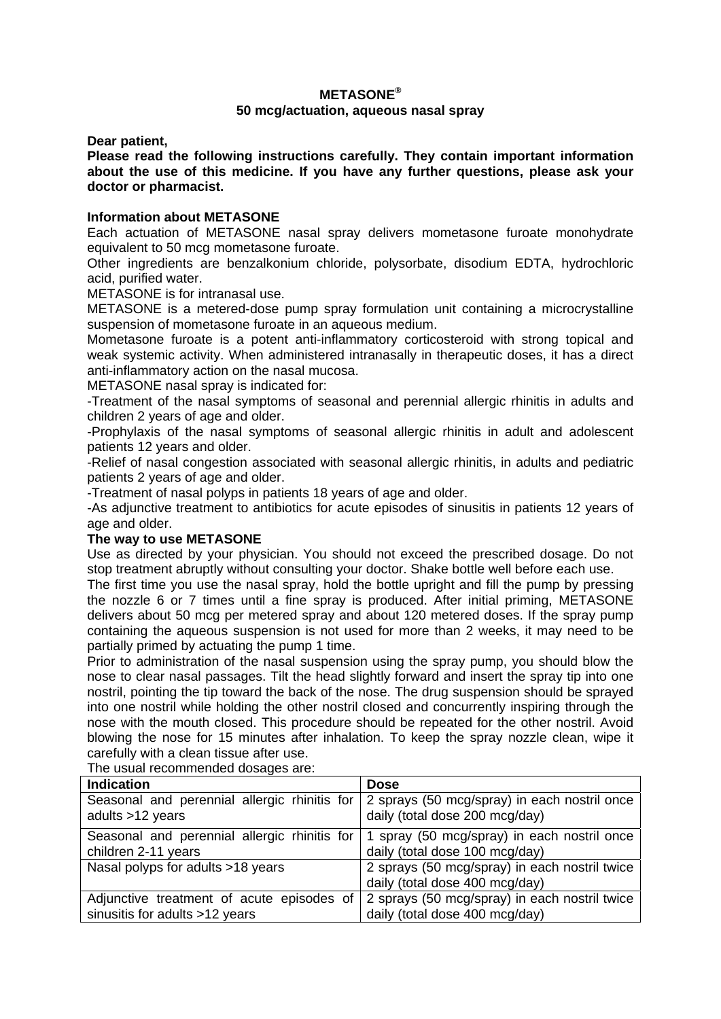# **METASONE®**

## **50 mcg/actuation, aqueous nasal spray**

**Dear patient,** 

**Please read the following instructions carefully. They contain important information about the use of this medicine. If you have any further questions, please ask your doctor or pharmacist.** 

### **Information about METASONE**

Each actuation of METASONE nasal spray delivers mometasone furoate monohydrate equivalent to 50 mcg mometasone furoate.

Other ingredients are benzalkonium chloride, polysorbate, disodium EDTA, hydrochloric acid, purified water.

METASONE is for intranasal use.

METASONE is a metered-dose pump spray formulation unit containing a microcrystalline suspension of mometasone furoate in an aqueous medium.

Mometasone furoate is a potent anti-inflammatory corticosteroid with strong topical and weak systemic activity. When administered intranasally in therapeutic doses, it has a direct anti-inflammatory action on the nasal mucosa.

METASONE nasal spray is indicated for:

-Treatment of the nasal symptoms of seasonal and perennial allergic rhinitis in adults and children 2 years of age and older.

-Prophylaxis of the nasal symptoms of seasonal allergic rhinitis in adult and adolescent patients 12 years and older.

-Relief of nasal congestion associated with seasonal allergic rhinitis, in adults and pediatric patients 2 years of age and older.

-Treatment of nasal polyps in patients 18 years of age and older.

-As adjunctive treatment to antibiotics for acute episodes of sinusitis in patients 12 years of age and older.

## **The way to use METASONE**

Use as directed by your physician. You should not exceed the prescribed dosage. Do not stop treatment abruptly without consulting your doctor. Shake bottle well before each use.

The first time you use the nasal spray, hold the bottle upright and fill the pump by pressing the nozzle 6 or 7 times until a fine spray is produced. After initial priming, METASONE delivers about 50 mcg per metered spray and about 120 metered doses. If the spray pump containing the aqueous suspension is not used for more than 2 weeks, it may need to be partially primed by actuating the pump 1 time.

Prior to administration of the nasal suspension using the spray pump, you should blow the nose to clear nasal passages. Tilt the head slightly forward and insert the spray tip into one nostril, pointing the tip toward the back of the nose. The drug suspension should be sprayed into one nostril while holding the other nostril closed and concurrently inspiring through the nose with the mouth closed. This procedure should be repeated for the other nostril. Avoid blowing the nose for 15 minutes after inhalation. To keep the spray nozzle clean, wipe it carefully with a clean tissue after use.

The usual recommended dosages are:

| <b>Indication</b>                                                           | <b>Dose</b>                                                                                                                 |
|-----------------------------------------------------------------------------|-----------------------------------------------------------------------------------------------------------------------------|
| adults >12 years                                                            | Seasonal and perennial allergic rhinitis for 2 sprays (50 mcg/spray) in each nostril once<br>daily (total dose 200 mcg/day) |
| Seasonal and perennial allergic rhinitis for<br>children 2-11 years         | 1 spray (50 mcg/spray) in each nostril once<br>daily (total dose 100 mcg/day)                                               |
| Nasal polyps for adults >18 years                                           | 2 sprays (50 mcg/spray) in each nostril twice<br>daily (total dose 400 mcg/day)                                             |
| Adjunctive treatment of acute episodes of<br>sinusitis for adults >12 years | 2 sprays (50 mcg/spray) in each nostril twice<br>daily (total dose 400 mcg/day)                                             |